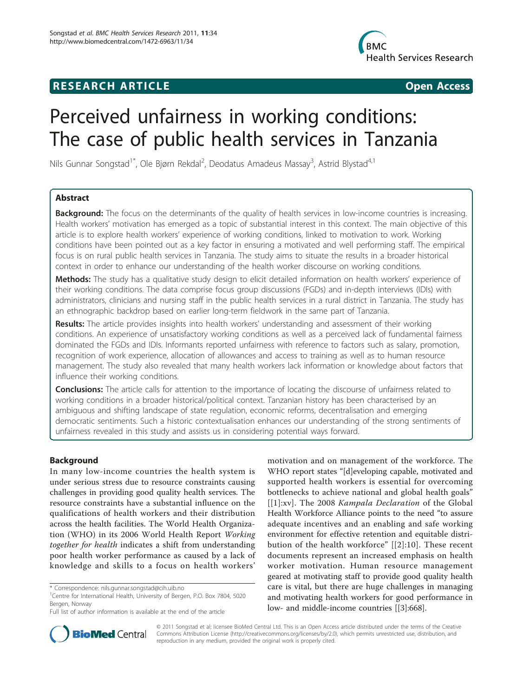# **RESEARCH ARTICLE Example 2014 CONSUMING ACCESS**



# Perceived unfairness in working conditions: The case of public health services in Tanzania

Nils Gunnar Songstad<sup>1\*</sup>, Ole Bjørn Rekdal<sup>2</sup>, Deodatus Amadeus Massay<sup>3</sup>, Astrid Blystad<sup>4,1</sup>

# Abstract

Background: The focus on the determinants of the quality of health services in low-income countries is increasing. Health workers' motivation has emerged as a topic of substantial interest in this context. The main objective of this article is to explore health workers' experience of working conditions, linked to motivation to work. Working conditions have been pointed out as a key factor in ensuring a motivated and well performing staff. The empirical focus is on rural public health services in Tanzania. The study aims to situate the results in a broader historical context in order to enhance our understanding of the health worker discourse on working conditions.

Methods: The study has a qualitative study design to elicit detailed information on health workers' experience of their working conditions. The data comprise focus group discussions (FGDs) and in-depth interviews (IDIs) with administrators, clinicians and nursing staff in the public health services in a rural district in Tanzania. The study has an ethnographic backdrop based on earlier long-term fieldwork in the same part of Tanzania.

Results: The article provides insights into health workers' understanding and assessment of their working conditions. An experience of unsatisfactory working conditions as well as a perceived lack of fundamental fairness dominated the FGDs and IDIs. Informants reported unfairness with reference to factors such as salary, promotion, recognition of work experience, allocation of allowances and access to training as well as to human resource management. The study also revealed that many health workers lack information or knowledge about factors that influence their working conditions.

**Conclusions:** The article calls for attention to the importance of locating the discourse of unfairness related to working conditions in a broader historical/political context. Tanzanian history has been characterised by an ambiguous and shifting landscape of state regulation, economic reforms, decentralisation and emerging democratic sentiments. Such a historic contextualisation enhances our understanding of the strong sentiments of unfairness revealed in this study and assists us in considering potential ways forward.

# Background

In many low-income countries the health system is under serious stress due to resource constraints causing challenges in providing good quality health services. The resource constraints have a substantial influence on the qualifications of health workers and their distribution across the health facilities. The World Health Organization (WHO) in its 2006 World Health Report Working together for health indicates a shift from understanding poor health worker performance as caused by a lack of knowledge and skills to a focus on health workers'

Full list of author information is available at the end of the article





© 2011 Songstad et al; licensee BioMed Central Ltd. This is an Open Access article distributed under the terms of the Creative Commons Attribution License [\(http://creativecommons.org/licenses/by/2.0](http://creativecommons.org/licenses/by/2.0)), which permits unrestricted use, distribution, and reproduction in any medium, provided the original work is properly cited.

<sup>\*</sup> Correspondence: [nils.gunnar.songstad@cih.uib.no](mailto:nils.gunnar.songstad@cih.uib.no)

<sup>&</sup>lt;sup>1</sup>Centre for International Health, University of Bergen, P.O. Box 7804, 5020 Bergen, Norway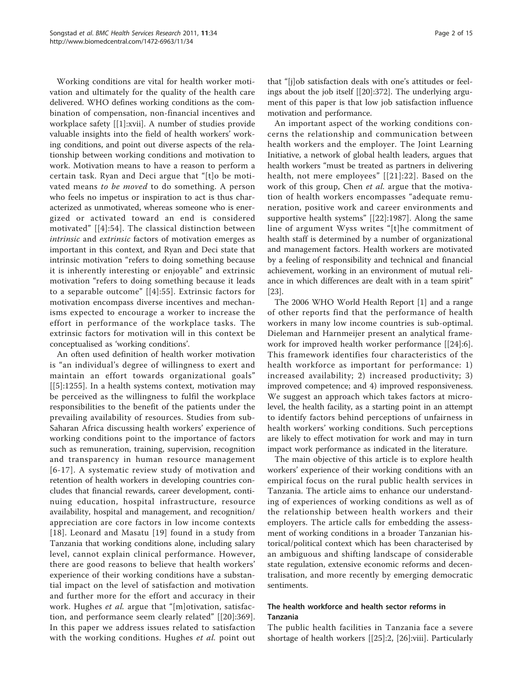Working conditions are vital for health worker motivation and ultimately for the quality of the health care delivered. WHO defines working conditions as the combination of compensation, non-financial incentives and workplace safety [[[1\]](#page-13-0):xvii]. A number of studies provide valuable insights into the field of health workers' working conditions, and point out diverse aspects of the relationship between working conditions and motivation to work. Motivation means to have a reason to perform a certain task. Ryan and Deci argue that "[t]o be motivated means to be moved to do something. A person who feels no impetus or inspiration to act is thus characterized as unmotivated, whereas someone who is energized or activated toward an end is considered motivated" [[\[4\]](#page-13-0):54]. The classical distinction between intrinsic and extrinsic factors of motivation emerges as important in this context, and Ryan and Deci state that intrinsic motivation "refers to doing something because it is inherently interesting or enjoyable" and extrinsic motivation "refers to doing something because it leads to a separable outcome" [[[4](#page-13-0)]:55]. Extrinsic factors for motivation encompass diverse incentives and mechanisms expected to encourage a worker to increase the effort in performance of the workplace tasks. The extrinsic factors for motivation will in this context be conceptualised as 'working conditions'.

An often used definition of health worker motivation is "an individual's degree of willingness to exert and maintain an effort towards organizational goals" [[\[5](#page-13-0)]:1255]. In a health systems context, motivation may be perceived as the willingness to fulfil the workplace responsibilities to the benefit of the patients under the prevailing availability of resources. Studies from sub-Saharan Africa discussing health workers' experience of working conditions point to the importance of factors such as remuneration, training, supervision, recognition and transparency in human resource management [[6-17](#page-13-0)]. A systematic review study of motivation and retention of health workers in developing countries concludes that financial rewards, career development, continuing education, hospital infrastructure, resource availability, hospital and management, and recognition/ appreciation are core factors in low income contexts [[18](#page-13-0)]. Leonard and Masatu [[19](#page-13-0)] found in a study from Tanzania that working conditions alone, including salary level, cannot explain clinical performance. However, there are good reasons to believe that health workers' experience of their working conditions have a substantial impact on the level of satisfaction and motivation and further more for the effort and accuracy in their work. Hughes et al. argue that "[m]otivation, satisfaction, and performance seem clearly related" [[[20](#page-13-0)]:369]. In this paper we address issues related to satisfaction with the working conditions. Hughes et al. point out

that "[j]ob satisfaction deals with one's attitudes or feelings about the job itself [[[20\]](#page-13-0):372]. The underlying argument of this paper is that low job satisfaction influence motivation and performance.

An important aspect of the working conditions concerns the relationship and communication between health workers and the employer. The Joint Learning Initiative, a network of global health leaders, argues that health workers "must be treated as partners in delivering health, not mere employees" [[[21](#page-13-0)]:22]. Based on the work of this group, Chen et al. argue that the motivation of health workers encompasses "adequate remuneration, positive work and career environments and supportive health systems" [[\[22](#page-13-0)]:1987]. Along the same line of argument Wyss writes "[t]he commitment of health staff is determined by a number of organizational and management factors. Health workers are motivated by a feeling of responsibility and technical and financial achievement, working in an environment of mutual reliance in which differences are dealt with in a team spirit" [[23\]](#page-13-0).

The 2006 WHO World Health Report [\[1](#page-13-0)] and a range of other reports find that the performance of health workers in many low income countries is sub-optimal. Dieleman and Harnmeijer present an analytical framework for improved health worker performance [[[24\]](#page-13-0):6]. This framework identifies four characteristics of the health workforce as important for performance: 1) increased availability; 2) increased productivity; 3) improved competence; and 4) improved responsiveness. We suggest an approach which takes factors at microlevel, the health facility, as a starting point in an attempt to identify factors behind perceptions of unfairness in health workers' working conditions. Such perceptions are likely to effect motivation for work and may in turn impact work performance as indicated in the literature.

The main objective of this article is to explore health workers' experience of their working conditions with an empirical focus on the rural public health services in Tanzania. The article aims to enhance our understanding of experiences of working conditions as well as of the relationship between health workers and their employers. The article calls for embedding the assessment of working conditions in a broader Tanzanian historical/political context which has been characterised by an ambiguous and shifting landscape of considerable state regulation, extensive economic reforms and decentralisation, and more recently by emerging democratic sentiments.

# The health workforce and health sector reforms in Tanzania

The public health facilities in Tanzania face a severe shortage of health workers [[[25\]](#page-13-0):2, [[26\]](#page-13-0):viii]. Particularly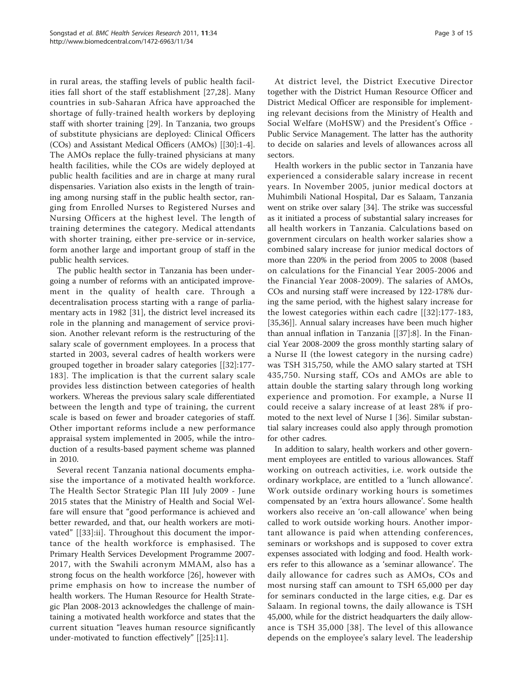in rural areas, the staffing levels of public health facilities fall short of the staff establishment [[27,28\]](#page-13-0). Many countries in sub-Saharan Africa have approached the shortage of fully-trained health workers by deploying staff with shorter training [\[29\]](#page-13-0). In Tanzania, two groups of substitute physicians are deployed: Clinical Officers (COs) and Assistant Medical Officers (AMOs) [[[30\]](#page-13-0):1-4]. The AMOs replace the fully-trained physicians at many health facilities, while the COs are widely deployed at public health facilities and are in charge at many rural dispensaries. Variation also exists in the length of training among nursing staff in the public health sector, ranging from Enrolled Nurses to Registered Nurses and Nursing Officers at the highest level. The length of training determines the category. Medical attendants with shorter training, either pre-service or in-service, form another large and important group of staff in the public health services.

The public health sector in Tanzania has been undergoing a number of reforms with an anticipated improvement in the quality of health care. Through a decentralisation process starting with a range of parliamentary acts in 1982 [[31](#page-13-0)], the district level increased its role in the planning and management of service provision. Another relevant reform is the restructuring of the salary scale of government employees. In a process that started in 2003, several cadres of health workers were grouped together in broader salary categories [[[32\]](#page-13-0):177- 183]. The implication is that the current salary scale provides less distinction between categories of health workers. Whereas the previous salary scale differentiated between the length and type of training, the current scale is based on fewer and broader categories of staff. Other important reforms include a new performance appraisal system implemented in 2005, while the introduction of a results-based payment scheme was planned in 2010.

Several recent Tanzania national documents emphasise the importance of a motivated health workforce. The Health Sector Strategic Plan III July 2009 - June 2015 states that the Ministry of Health and Social Welfare will ensure that "good performance is achieved and better rewarded, and that, our health workers are motivated" [[\[33\]](#page-13-0):ii]. Throughout this document the importance of the health workforce is emphasised. The Primary Health Services Development Programme 2007- 2017, with the Swahili acronym MMAM, also has a strong focus on the health workforce [[26](#page-13-0)], however with prime emphasis on how to increase the number of health workers. The Human Resource for Health Strategic Plan 2008-2013 acknowledges the challenge of maintaining a motivated health workforce and states that the current situation "leaves human resource significantly under-motivated to function effectively" [[\[25\]](#page-13-0):11].

At district level, the District Executive Director together with the District Human Resource Officer and District Medical Officer are responsible for implementing relevant decisions from the Ministry of Health and Social Welfare (MoHSW) and the President's Office - Public Service Management. The latter has the authority to decide on salaries and levels of allowances across all sectors.

Health workers in the public sector in Tanzania have experienced a considerable salary increase in recent years. In November 2005, junior medical doctors at Muhimbili National Hospital, Dar es Salaam, Tanzania went on strike over salary [[34\]](#page-13-0). The strike was successful as it initiated a process of substantial salary increases for all health workers in Tanzania. Calculations based on government circulars on health worker salaries show a combined salary increase for junior medical doctors of more than 220% in the period from 2005 to 2008 (based on calculations for the Financial Year 2005-2006 and the Financial Year 2008-2009). The salaries of AMOs, COs and nursing staff were increased by 122-178% during the same period, with the highest salary increase for the lowest categories within each cadre [[[32](#page-13-0)]:177-183, [[35,36\]](#page-13-0)]. Annual salary increases have been much higher than annual inflation in Tanzania [[\[37](#page-13-0)]:8]. In the Financial Year 2008-2009 the gross monthly starting salary of a Nurse II (the lowest category in the nursing cadre) was TSH 315,750, while the AMO salary started at TSH 435,750. Nursing staff, COs and AMOs are able to attain double the starting salary through long working experience and promotion. For example, a Nurse II could receive a salary increase of at least 28% if promoted to the next level of Nurse I [\[36](#page-13-0)]. Similar substantial salary increases could also apply through promotion for other cadres.

In addition to salary, health workers and other government employees are entitled to various allowances. Staff working on outreach activities, i.e. work outside the ordinary workplace, are entitled to a 'lunch allowance'. Work outside ordinary working hours is sometimes compensated by an 'extra hours allowance'. Some health workers also receive an 'on-call allowance' when being called to work outside working hours. Another important allowance is paid when attending conferences, seminars or workshops and is supposed to cover extra expenses associated with lodging and food. Health workers refer to this allowance as a 'seminar allowance'. The daily allowance for cadres such as AMOs, COs and most nursing staff can amount to TSH 65,000 per day for seminars conducted in the large cities, e.g. Dar es Salaam. In regional towns, the daily allowance is TSH 45,000, while for the district headquarters the daily allowance is TSH 35,000 [\[38](#page-13-0)]. The level of this allowance depends on the employee's salary level. The leadership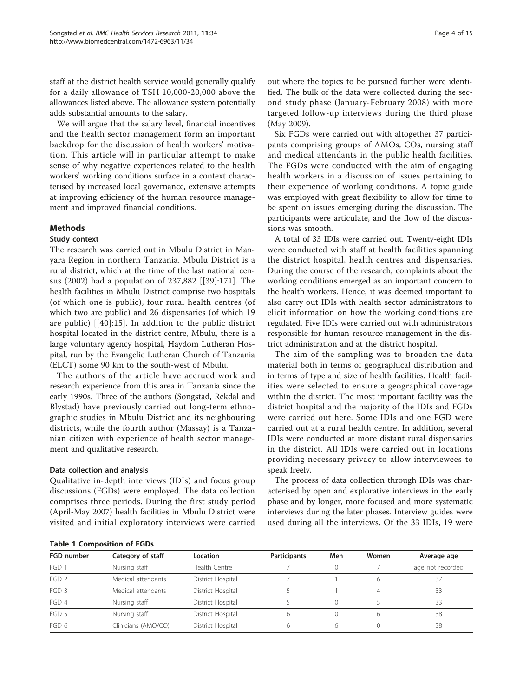staff at the district health service would generally qualify for a daily allowance of TSH 10,000-20,000 above the allowances listed above. The allowance system potentially adds substantial amounts to the salary.

We will argue that the salary level, financial incentives and the health sector management form an important backdrop for the discussion of health workers' motivation. This article will in particular attempt to make sense of why negative experiences related to the health workers' working conditions surface in a context characterised by increased local governance, extensive attempts at improving efficiency of the human resource management and improved financial conditions.

# Methods

# Study context

The research was carried out in Mbulu District in Manyara Region in northern Tanzania. Mbulu District is a rural district, which at the time of the last national census (2002) had a population of 237,882 [[[39](#page-13-0)]:171]. The health facilities in Mbulu District comprise two hospitals (of which one is public), four rural health centres (of which two are public) and 26 dispensaries (of which 19 are public) [[[40\]](#page-13-0):15]. In addition to the public district hospital located in the district centre, Mbulu, there is a large voluntary agency hospital, Haydom Lutheran Hospital, run by the Evangelic Lutheran Church of Tanzania (ELCT) some 90 km to the south-west of Mbulu.

The authors of the article have accrued work and research experience from this area in Tanzania since the early 1990s. Three of the authors (Songstad, Rekdal and Blystad) have previously carried out long-term ethnographic studies in Mbulu District and its neighbouring districts, while the fourth author (Massay) is a Tanzanian citizen with experience of health sector management and qualitative research.

# Data collection and analysis

Qualitative in-depth interviews (IDIs) and focus group discussions (FGDs) were employed. The data collection comprises three periods. During the first study period (April-May 2007) health facilities in Mbulu District were visited and initial exploratory interviews were carried out where the topics to be pursued further were identified. The bulk of the data were collected during the second study phase (January-February 2008) with more targeted follow-up interviews during the third phase (May 2009).

Six FGDs were carried out with altogether 37 participants comprising groups of AMOs, COs, nursing staff and medical attendants in the public health facilities. The FGDs were conducted with the aim of engaging health workers in a discussion of issues pertaining to their experience of working conditions. A topic guide was employed with great flexibility to allow for time to be spent on issues emerging during the discussion. The participants were articulate, and the flow of the discussions was smooth.

A total of 33 IDIs were carried out. Twenty-eight IDIs were conducted with staff at health facilities spanning the district hospital, health centres and dispensaries. During the course of the research, complaints about the working conditions emerged as an important concern to the health workers. Hence, it was deemed important to also carry out IDIs with health sector administrators to elicit information on how the working conditions are regulated. Five IDIs were carried out with administrators responsible for human resource management in the district administration and at the district hospital.

The aim of the sampling was to broaden the data material both in terms of geographical distribution and in terms of type and size of health facilities. Health facilities were selected to ensure a geographical coverage within the district. The most important facility was the district hospital and the majority of the IDIs and FGDs were carried out here. Some IDIs and one FGD were carried out at a rural health centre. In addition, several IDIs were conducted at more distant rural dispensaries in the district. All IDIs were carried out in locations providing necessary privacy to allow interviewees to speak freely.

The process of data collection through IDIs was characterised by open and explorative interviews in the early phase and by longer, more focused and more systematic interviews during the later phases. Interview guides were used during all the interviews. Of the 33 IDIs, 19 were

| FGD number       | Category of staff   | <b>Location</b>   | <b>Participants</b> | Men | Women | Average age      |
|------------------|---------------------|-------------------|---------------------|-----|-------|------------------|
| FGD 1            | Nursing staff       | Health Centre     |                     |     |       | age not recorded |
| FGD <sub>2</sub> | Medical attendants  | District Hospital |                     |     | h     | 37               |
| FGD <sub>3</sub> | Medical attendants  | District Hospital |                     |     |       | 33               |
| FGD 4            | Nursing staff       | District Hospital |                     |     |       | 33               |
| FGD 5            | Nursing staff       | District Hospital | 6                   |     | 6     | 38               |
| FGD 6            | Clinicians (AMO/CO) | District Hospital |                     |     |       | 38               |

Table 1 Composition of FGDs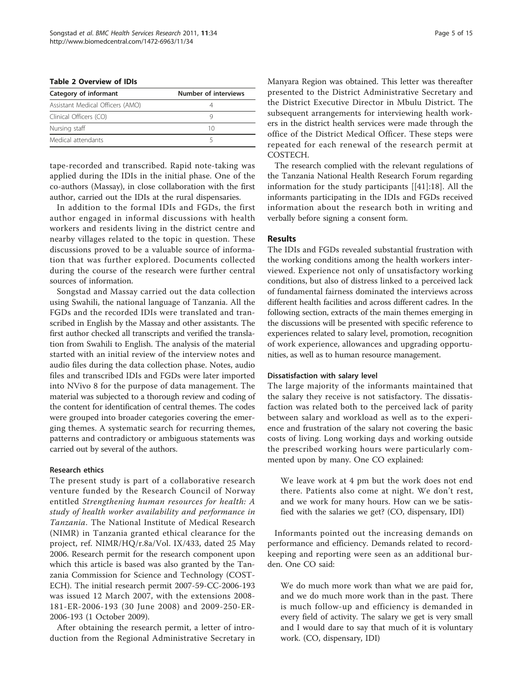|  | <b>Table 2 Overview of IDIs</b> |  |  |
|--|---------------------------------|--|--|
|--|---------------------------------|--|--|

| Category of informant            | <b>Number of interviews</b> |  |  |
|----------------------------------|-----------------------------|--|--|
| Assistant Medical Officers (AMO) |                             |  |  |
| Clinical Officers (CO)           |                             |  |  |
| Nursing staff                    |                             |  |  |
| Medical attendants               |                             |  |  |

tape-recorded and transcribed. Rapid note-taking was applied during the IDIs in the initial phase. One of the co-authors (Massay), in close collaboration with the first author, carried out the IDIs at the rural dispensaries.

In addition to the formal IDIs and FGDs, the first author engaged in informal discussions with health workers and residents living in the district centre and nearby villages related to the topic in question. These discussions proved to be a valuable source of information that was further explored. Documents collected during the course of the research were further central sources of information.

Songstad and Massay carried out the data collection using Swahili, the national language of Tanzania. All the FGDs and the recorded IDIs were translated and transcribed in English by the Massay and other assistants. The first author checked all transcripts and verified the translation from Swahili to English. The analysis of the material started with an initial review of the interview notes and audio files during the data collection phase. Notes, audio files and transcribed IDIs and FGDs were later imported into NVivo 8 for the purpose of data management. The material was subjected to a thorough review and coding of the content for identification of central themes. The codes were grouped into broader categories covering the emerging themes. A systematic search for recurring themes, patterns and contradictory or ambiguous statements was carried out by several of the authors.

### Research ethics

The present study is part of a collaborative research venture funded by the Research Council of Norway entitled Strengthening human resources for health: A study of health worker availability and performance in Tanzania. The National Institute of Medical Research (NIMR) in Tanzania granted ethical clearance for the project, ref. NIMR/HQ/r.8a/Vol. IX/433, dated 25 May 2006. Research permit for the research component upon which this article is based was also granted by the Tanzania Commission for Science and Technology (COST-ECH). The initial research permit 2007-59-CC-2006-193 was issued 12 March 2007, with the extensions 2008- 181-ER-2006-193 (30 June 2008) and 2009-250-ER-2006-193 (1 October 2009).

After obtaining the research permit, a letter of introduction from the Regional Administrative Secretary in Manyara Region was obtained. This letter was thereafter presented to the District Administrative Secretary and the District Executive Director in Mbulu District. The subsequent arrangements for interviewing health workers in the district health services were made through the office of the District Medical Officer. These steps were repeated for each renewal of the research permit at

The research complied with the relevant regulations of the Tanzania National Health Research Forum regarding information for the study participants [[\[41](#page-13-0)]:18]. All the informants participating in the IDIs and FGDs received information about the research both in writing and verbally before signing a consent form.

#### Results

COSTECH.

The IDIs and FGDs revealed substantial frustration with the working conditions among the health workers interviewed. Experience not only of unsatisfactory working conditions, but also of distress linked to a perceived lack of fundamental fairness dominated the interviews across different health facilities and across different cadres. In the following section, extracts of the main themes emerging in the discussions will be presented with specific reference to experiences related to salary level, promotion, recognition of work experience, allowances and upgrading opportunities, as well as to human resource management.

#### Dissatisfaction with salary level

The large majority of the informants maintained that the salary they receive is not satisfactory. The dissatisfaction was related both to the perceived lack of parity between salary and workload as well as to the experience and frustration of the salary not covering the basic costs of living. Long working days and working outside the prescribed working hours were particularly commented upon by many. One CO explained:

We leave work at 4 pm but the work does not end there. Patients also come at night. We don't rest, and we work for many hours. How can we be satisfied with the salaries we get? (CO, dispensary, IDI)

Informants pointed out the increasing demands on performance and efficiency. Demands related to recordkeeping and reporting were seen as an additional burden. One CO said:

We do much more work than what we are paid for, and we do much more work than in the past. There is much follow-up and efficiency is demanded in every field of activity. The salary we get is very small and I would dare to say that much of it is voluntary work. (CO, dispensary, IDI)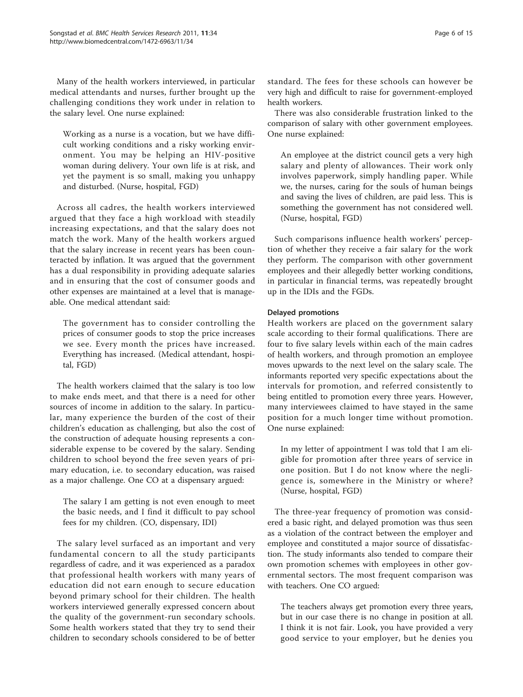Many of the health workers interviewed, in particular medical attendants and nurses, further brought up the challenging conditions they work under in relation to the salary level. One nurse explained:

Working as a nurse is a vocation, but we have difficult working conditions and a risky working environment. You may be helping an HIV-positive woman during delivery. Your own life is at risk, and yet the payment is so small, making you unhappy and disturbed. (Nurse, hospital, FGD)

Across all cadres, the health workers interviewed argued that they face a high workload with steadily increasing expectations, and that the salary does not match the work. Many of the health workers argued that the salary increase in recent years has been counteracted by inflation. It was argued that the government has a dual responsibility in providing adequate salaries and in ensuring that the cost of consumer goods and other expenses are maintained at a level that is manageable. One medical attendant said:

The government has to consider controlling the prices of consumer goods to stop the price increases we see. Every month the prices have increased. Everything has increased. (Medical attendant, hospital, FGD)

The health workers claimed that the salary is too low to make ends meet, and that there is a need for other sources of income in addition to the salary. In particular, many experience the burden of the cost of their children's education as challenging, but also the cost of the construction of adequate housing represents a considerable expense to be covered by the salary. Sending children to school beyond the free seven years of primary education, i.e. to secondary education, was raised as a major challenge. One CO at a dispensary argued:

The salary I am getting is not even enough to meet the basic needs, and I find it difficult to pay school fees for my children. (CO, dispensary, IDI)

The salary level surfaced as an important and very fundamental concern to all the study participants regardless of cadre, and it was experienced as a paradox that professional health workers with many years of education did not earn enough to secure education beyond primary school for their children. The health workers interviewed generally expressed concern about the quality of the government-run secondary schools. Some health workers stated that they try to send their children to secondary schools considered to be of better standard. The fees for these schools can however be very high and difficult to raise for government-employed health workers.

There was also considerable frustration linked to the comparison of salary with other government employees. One nurse explained:

An employee at the district council gets a very high salary and plenty of allowances. Their work only involves paperwork, simply handling paper. While we, the nurses, caring for the souls of human beings and saving the lives of children, are paid less. This is something the government has not considered well. (Nurse, hospital, FGD)

Such comparisons influence health workers' perception of whether they receive a fair salary for the work they perform. The comparison with other government employees and their allegedly better working conditions, in particular in financial terms, was repeatedly brought up in the IDIs and the FGDs.

# Delayed promotions

Health workers are placed on the government salary scale according to their formal qualifications. There are four to five salary levels within each of the main cadres of health workers, and through promotion an employee moves upwards to the next level on the salary scale. The informants reported very specific expectations about the intervals for promotion, and referred consistently to being entitled to promotion every three years. However, many interviewees claimed to have stayed in the same position for a much longer time without promotion. One nurse explained:

In my letter of appointment I was told that I am eligible for promotion after three years of service in one position. But I do not know where the negligence is, somewhere in the Ministry or where? (Nurse, hospital, FGD)

The three-year frequency of promotion was considered a basic right, and delayed promotion was thus seen as a violation of the contract between the employer and employee and constituted a major source of dissatisfaction. The study informants also tended to compare their own promotion schemes with employees in other governmental sectors. The most frequent comparison was with teachers. One CO argued:

The teachers always get promotion every three years, but in our case there is no change in position at all. I think it is not fair. Look, you have provided a very good service to your employer, but he denies you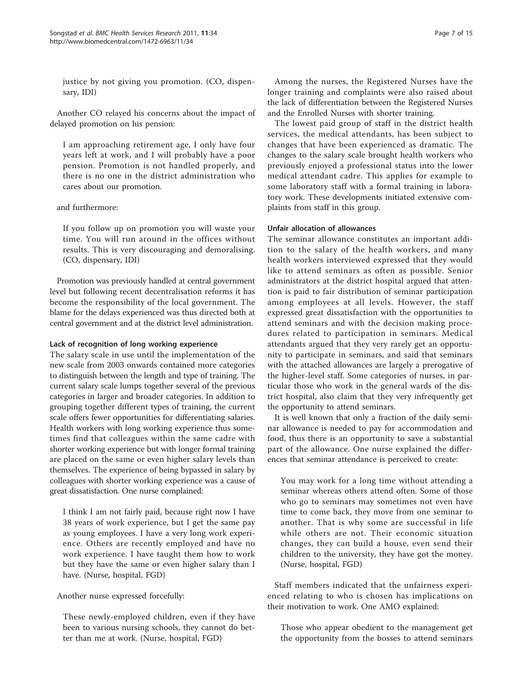justice by not giving you promotion. (CO, dispensary, IDI)

Another CO relayed his concerns about the impact of delayed promotion on his pension:

I am approaching retirement age, I only have four years left at work, and I will probably have a poor pension. Promotion is not handled properly, and there is no one in the district administration who cares about our promotion.

# and furthermore:

If you follow up on promotion you will waste your time. You will run around in the offices without results. This is very discouraging and demoralising. (CO, dispensary, IDI)

Promotion was previously handled at central government level but following recent decentralisation reforms it has become the responsibility of the local government. The blame for the delays experienced was thus directed both at central government and at the district level administration.

# Lack of recognition of long working experience

The salary scale in use until the implementation of the new scale from 2003 onwards contained more categories to distinguish between the length and type of training. The current salary scale lumps together several of the previous categories in larger and broader categories. In addition to grouping together different types of training, the current scale offers fewer opportunities for differentiating salaries. Health workers with long working experience thus sometimes find that colleagues within the same cadre with shorter working experience but with longer formal training are placed on the same or even higher salary levels than themselves. The experience of being bypassed in salary by colleagues with shorter working experience was a cause of great dissatisfaction. One nurse complained:

I think I am not fairly paid, because right now I have 38 years of work experience, but I get the same pay as young employees. I have a very long work experience. Others are recently employed and have no work experience. I have taught them how to work but they have the same or even higher salary than I have. (Nurse, hospital, FGD)

# Another nurse expressed forcefully:

These newly-employed children, even if they have been to various nursing schools, they cannot do better than me at work. (Nurse, hospital, FGD)

Among the nurses, the Registered Nurses have the longer training and complaints were also raised about the lack of differentiation between the Registered Nurses and the Enrolled Nurses with shorter training.

The lowest paid group of staff in the district health services, the medical attendants, has been subject to changes that have been experienced as dramatic. The changes to the salary scale brought health workers who previously enjoyed a professional status into the lower medical attendant cadre. This applies for example to some laboratory staff with a formal training in laboratory work. These developments initiated extensive complaints from staff in this group.

# Unfair allocation of allowances

The seminar allowance constitutes an important addition to the salary of the health workers, and many health workers interviewed expressed that they would like to attend seminars as often as possible. Senior administrators at the district hospital argued that attention is paid to fair distribution of seminar participation among employees at all levels. However, the staff expressed great dissatisfaction with the opportunities to attend seminars and with the decision making procedures related to participation in seminars. Medical attendants argued that they very rarely get an opportunity to participate in seminars, and said that seminars with the attached allowances are largely a prerogative of the higher-level staff. Some categories of nurses, in particular those who work in the general wards of the district hospital, also claim that they very infrequently get the opportunity to attend seminars.

It is well known that only a fraction of the daily seminar allowance is needed to pay for accommodation and food, thus there is an opportunity to save a substantial part of the allowance. One nurse explained the differences that seminar attendance is perceived to create:

You may work for a long time without attending a seminar whereas others attend often. Some of those who go to seminars may sometimes not even have time to come back, they move from one seminar to another. That is why some are successful in life while others are not. Their economic situation changes, they can build a house, even send their children to the university, they have got the money. (Nurse, hospital, FGD)

Staff members indicated that the unfairness experienced relating to who is chosen has implications on their motivation to work. One AMO explained:

Those who appear obedient to the management get the opportunity from the bosses to attend seminars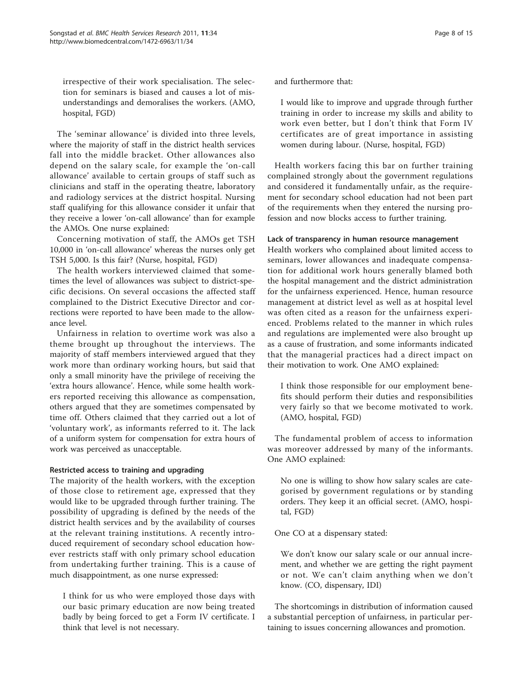irrespective of their work specialisation. The selection for seminars is biased and causes a lot of misunderstandings and demoralises the workers. (AMO, hospital, FGD)

The 'seminar allowance' is divided into three levels, where the majority of staff in the district health services fall into the middle bracket. Other allowances also depend on the salary scale, for example the 'on-call allowance' available to certain groups of staff such as clinicians and staff in the operating theatre, laboratory and radiology services at the district hospital. Nursing staff qualifying for this allowance consider it unfair that they receive a lower 'on-call allowance' than for example the AMOs. One nurse explained:

Concerning motivation of staff, the AMOs get TSH 10,000 in 'on-call allowance' whereas the nurses only get TSH 5,000. Is this fair? (Nurse, hospital, FGD)

The health workers interviewed claimed that sometimes the level of allowances was subject to district-specific decisions. On several occasions the affected staff complained to the District Executive Director and corrections were reported to have been made to the allowance level.

Unfairness in relation to overtime work was also a theme brought up throughout the interviews. The majority of staff members interviewed argued that they work more than ordinary working hours, but said that only a small minority have the privilege of receiving the 'extra hours allowance'. Hence, while some health workers reported receiving this allowance as compensation, others argued that they are sometimes compensated by time off. Others claimed that they carried out a lot of 'voluntary work', as informants referred to it. The lack of a uniform system for compensation for extra hours of work was perceived as unacceptable.

# Restricted access to training and upgrading

The majority of the health workers, with the exception of those close to retirement age, expressed that they would like to be upgraded through further training. The possibility of upgrading is defined by the needs of the district health services and by the availability of courses at the relevant training institutions. A recently introduced requirement of secondary school education however restricts staff with only primary school education from undertaking further training. This is a cause of much disappointment, as one nurse expressed:

I think for us who were employed those days with our basic primary education are now being treated badly by being forced to get a Form IV certificate. I think that level is not necessary.

and furthermore that:

I would like to improve and upgrade through further training in order to increase my skills and ability to work even better, but I don't think that Form IV certificates are of great importance in assisting women during labour. (Nurse, hospital, FGD)

Health workers facing this bar on further training complained strongly about the government regulations and considered it fundamentally unfair, as the requirement for secondary school education had not been part of the requirements when they entered the nursing profession and now blocks access to further training.

# Lack of transparency in human resource management

Health workers who complained about limited access to seminars, lower allowances and inadequate compensation for additional work hours generally blamed both the hospital management and the district administration for the unfairness experienced. Hence, human resource management at district level as well as at hospital level was often cited as a reason for the unfairness experienced. Problems related to the manner in which rules and regulations are implemented were also brought up as a cause of frustration, and some informants indicated that the managerial practices had a direct impact on their motivation to work. One AMO explained:

I think those responsible for our employment benefits should perform their duties and responsibilities very fairly so that we become motivated to work. (AMO, hospital, FGD)

The fundamental problem of access to information was moreover addressed by many of the informants. One AMO explained:

No one is willing to show how salary scales are categorised by government regulations or by standing orders. They keep it an official secret. (AMO, hospital, FGD)

One CO at a dispensary stated:

We don't know our salary scale or our annual increment, and whether we are getting the right payment or not. We can't claim anything when we don't know. (CO, dispensary, IDI)

The shortcomings in distribution of information caused a substantial perception of unfairness, in particular pertaining to issues concerning allowances and promotion.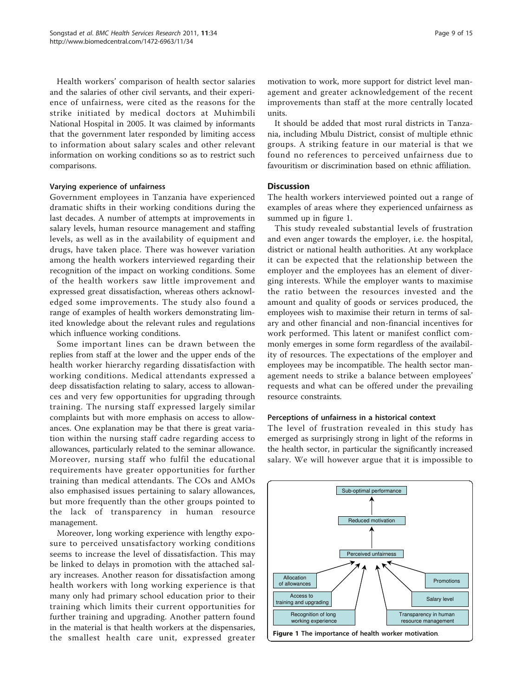Health workers' comparison of health sector salaries and the salaries of other civil servants, and their experience of unfairness, were cited as the reasons for the strike initiated by medical doctors at Muhimbili National Hospital in 2005. It was claimed by informants that the government later responded by limiting access to information about salary scales and other relevant information on working conditions so as to restrict such comparisons.

#### Varying experience of unfairness

Government employees in Tanzania have experienced dramatic shifts in their working conditions during the last decades. A number of attempts at improvements in salary levels, human resource management and staffing levels, as well as in the availability of equipment and drugs, have taken place. There was however variation among the health workers interviewed regarding their recognition of the impact on working conditions. Some of the health workers saw little improvement and expressed great dissatisfaction, whereas others acknowledged some improvements. The study also found a range of examples of health workers demonstrating limited knowledge about the relevant rules and regulations which influence working conditions.

Some important lines can be drawn between the replies from staff at the lower and the upper ends of the health worker hierarchy regarding dissatisfaction with working conditions. Medical attendants expressed a deep dissatisfaction relating to salary, access to allowances and very few opportunities for upgrading through training. The nursing staff expressed largely similar complaints but with more emphasis on access to allowances. One explanation may be that there is great variation within the nursing staff cadre regarding access to allowances, particularly related to the seminar allowance. Moreover, nursing staff who fulfil the educational requirements have greater opportunities for further training than medical attendants. The COs and AMOs also emphasised issues pertaining to salary allowances, but more frequently than the other groups pointed to the lack of transparency in human resource management.

Moreover, long working experience with lengthy exposure to perceived unsatisfactory working conditions seems to increase the level of dissatisfaction. This may be linked to delays in promotion with the attached salary increases. Another reason for dissatisfaction among health workers with long working experience is that many only had primary school education prior to their training which limits their current opportunities for further training and upgrading. Another pattern found in the material is that health workers at the dispensaries, the smallest health care unit, expressed greater motivation to work, more support for district level management and greater acknowledgement of the recent improvements than staff at the more centrally located units.

It should be added that most rural districts in Tanzania, including Mbulu District, consist of multiple ethnic groups. A striking feature in our material is that we found no references to perceived unfairness due to favouritism or discrimination based on ethnic affiliation.

# **Discussion**

The health workers interviewed pointed out a range of examples of areas where they experienced unfairness as summed up in figure 1.

This study revealed substantial levels of frustration and even anger towards the employer, i.e. the hospital, district or national health authorities. At any workplace it can be expected that the relationship between the employer and the employees has an element of diverging interests. While the employer wants to maximise the ratio between the resources invested and the amount and quality of goods or services produced, the employees wish to maximise their return in terms of salary and other financial and non-financial incentives for work performed. This latent or manifest conflict commonly emerges in some form regardless of the availability of resources. The expectations of the employer and employees may be incompatible. The health sector management needs to strike a balance between employees' requests and what can be offered under the prevailing resource constraints.

#### Perceptions of unfairness in a historical context

The level of frustration revealed in this study has emerged as surprisingly strong in light of the reforms in the health sector, in particular the significantly increased salary. We will however argue that it is impossible to

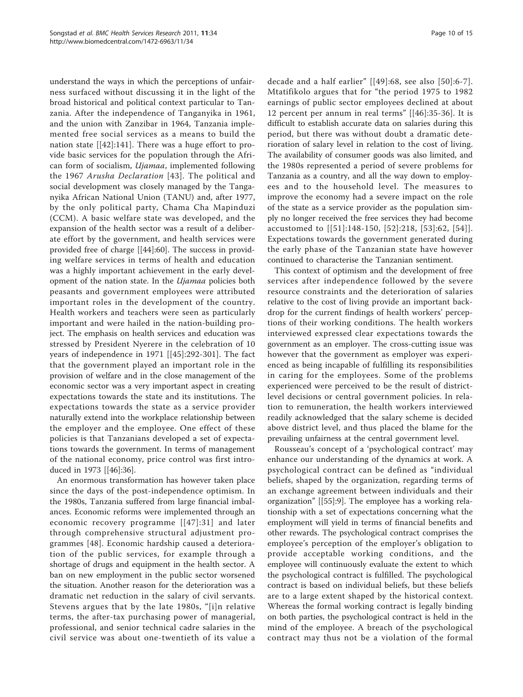understand the ways in which the perceptions of unfairness surfaced without discussing it in the light of the broad historical and political context particular to Tanzania. After the independence of Tanganyika in 1961, and the union with Zanzibar in 1964, Tanzania implemented free social services as a means to build the nation state [[\[42](#page-13-0)]:141]. There was a huge effort to provide basic services for the population through the African form of socialism, Ujamaa, implemented following the 1967 Arusha Declaration [[43](#page-13-0)]. The political and social development was closely managed by the Tanganyika African National Union (TANU) and, after 1977, by the only political party, Chama Cha Mapinduzi (CCM). A basic welfare state was developed, and the expansion of the health sector was a result of a deliberate effort by the government, and health services were provided free of charge [[[44\]](#page-13-0):60]. The success in providing welfare services in terms of health and education was a highly important achievement in the early development of the nation state. In the *Ujamaa* policies both peasants and government employees were attributed important roles in the development of the country. Health workers and teachers were seen as particularly important and were hailed in the nation-building project. The emphasis on health services and education was stressed by President Nyerere in the celebration of 10 years of independence in 1971 [[[45\]](#page-13-0):292-301]. The fact that the government played an important role in the provision of welfare and in the close management of the economic sector was a very important aspect in creating expectations towards the state and its institutions. The expectations towards the state as a service provider naturally extend into the workplace relationship between the employer and the employee. One effect of these policies is that Tanzanians developed a set of expectations towards the government. In terms of management of the national economy, price control was first introduced in 1973 [[[46](#page-13-0)]:36].

An enormous transformation has however taken place since the days of the post-independence optimism. In the 1980s, Tanzania suffered from large financial imbalances. Economic reforms were implemented through an economic recovery programme [[[47](#page-13-0)]:31] and later through comprehensive structural adjustment programmes [\[48\]](#page-13-0). Economic hardship caused a deterioration of the public services, for example through a shortage of drugs and equipment in the health sector. A ban on new employment in the public sector worsened the situation. Another reason for the deterioration was a dramatic net reduction in the salary of civil servants. Stevens argues that by the late 1980s, "[i]n relative terms, the after-tax purchasing power of managerial, professional, and senior technical cadre salaries in the civil service was about one-twentieth of its value a

decade and a half earlier" [[[49\]](#page-13-0):68, see also [[50\]](#page-13-0):6-7]. Mtatifikolo argues that for "the period 1975 to 1982 earnings of public sector employees declined at about 12 percent per annum in real terms" [[[46\]](#page-13-0):35-36]. It is difficult to establish accurate data on salaries during this period, but there was without doubt a dramatic deterioration of salary level in relation to the cost of living. The availability of consumer goods was also limited, and the 1980s represented a period of severe problems for Tanzania as a country, and all the way down to employees and to the household level. The measures to improve the economy had a severe impact on the role of the state as a service provider as the population simply no longer received the free services they had become accustomed to [[\[51\]](#page-14-0):148-150, [[52](#page-14-0)]:218, [[53\]](#page-14-0):62, [[54](#page-14-0)]]. Expectations towards the government generated during the early phase of the Tanzanian state have however continued to characterise the Tanzanian sentiment.

This context of optimism and the development of free services after independence followed by the severe resource constraints and the deterioration of salaries relative to the cost of living provide an important backdrop for the current findings of health workers' perceptions of their working conditions. The health workers interviewed expressed clear expectations towards the government as an employer. The cross-cutting issue was however that the government as employer was experienced as being incapable of fulfilling its responsibilities in caring for the employees. Some of the problems experienced were perceived to be the result of districtlevel decisions or central government policies. In relation to remuneration, the health workers interviewed readily acknowledged that the salary scheme is decided above district level, and thus placed the blame for the prevailing unfairness at the central government level.

Rousseau's concept of a 'psychological contract' may enhance our understanding of the dynamics at work. A psychological contract can be defined as "individual beliefs, shaped by the organization, regarding terms of an exchange agreement between individuals and their organization" [[[55\]](#page-14-0):9]. The employee has a working relationship with a set of expectations concerning what the employment will yield in terms of financial benefits and other rewards. The psychological contract comprises the employee's perception of the employer's obligation to provide acceptable working conditions, and the employee will continuously evaluate the extent to which the psychological contract is fulfilled. The psychological contract is based on individual beliefs, but these beliefs are to a large extent shaped by the historical context. Whereas the formal working contract is legally binding on both parties, the psychological contract is held in the mind of the employee. A breach of the psychological contract may thus not be a violation of the formal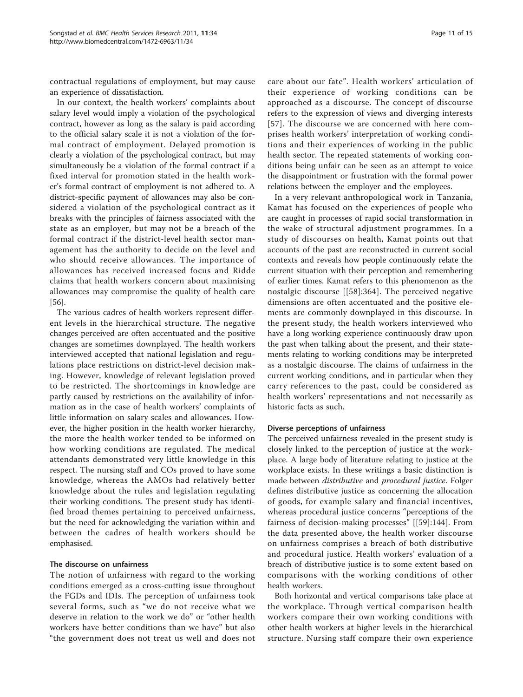contractual regulations of employment, but may cause an experience of dissatisfaction.

In our context, the health workers' complaints about salary level would imply a violation of the psychological contract, however as long as the salary is paid according to the official salary scale it is not a violation of the formal contract of employment. Delayed promotion is clearly a violation of the psychological contract, but may simultaneously be a violation of the formal contract if a fixed interval for promotion stated in the health worker's formal contract of employment is not adhered to. A district-specific payment of allowances may also be considered a violation of the psychological contract as it breaks with the principles of fairness associated with the state as an employer, but may not be a breach of the formal contract if the district-level health sector management has the authority to decide on the level and who should receive allowances. The importance of allowances has received increased focus and Ridde claims that health workers concern about maximising allowances may compromise the quality of health care [[56\]](#page-14-0).

The various cadres of health workers represent different levels in the hierarchical structure. The negative changes perceived are often accentuated and the positive changes are sometimes downplayed. The health workers interviewed accepted that national legislation and regulations place restrictions on district-level decision making. However, knowledge of relevant legislation proved to be restricted. The shortcomings in knowledge are partly caused by restrictions on the availability of information as in the case of health workers' complaints of little information on salary scales and allowances. However, the higher position in the health worker hierarchy, the more the health worker tended to be informed on how working conditions are regulated. The medical attendants demonstrated very little knowledge in this respect. The nursing staff and COs proved to have some knowledge, whereas the AMOs had relatively better knowledge about the rules and legislation regulating their working conditions. The present study has identified broad themes pertaining to perceived unfairness, but the need for acknowledging the variation within and between the cadres of health workers should be emphasised.

# The discourse on unfairness

The notion of unfairness with regard to the working conditions emerged as a cross-cutting issue throughout the FGDs and IDIs. The perception of unfairness took several forms, such as "we do not receive what we deserve in relation to the work we do" or "other health workers have better conditions than we have" but also "the government does not treat us well and does not

care about our fate". Health workers' articulation of their experience of working conditions can be approached as a discourse. The concept of discourse refers to the expression of views and diverging interests [[57](#page-14-0)]. The discourse we are concerned with here comprises health workers' interpretation of working conditions and their experiences of working in the public health sector. The repeated statements of working conditions being unfair can be seen as an attempt to voice the disappointment or frustration with the formal power relations between the employer and the employees.

In a very relevant anthropological work in Tanzania, Kamat has focused on the experiences of people who are caught in processes of rapid social transformation in the wake of structural adjustment programmes. In a study of discourses on health, Kamat points out that accounts of the past are reconstructed in current social contexts and reveals how people continuously relate the current situation with their perception and remembering of earlier times. Kamat refers to this phenomenon as the nostalgic discourse [[\[58\]](#page-14-0):364]. The perceived negative dimensions are often accentuated and the positive elements are commonly downplayed in this discourse. In the present study, the health workers interviewed who have a long working experience continuously draw upon the past when talking about the present, and their statements relating to working conditions may be interpreted as a nostalgic discourse. The claims of unfairness in the current working conditions, and in particular when they carry references to the past, could be considered as health workers' representations and not necessarily as historic facts as such.

# Diverse perceptions of unfairness

The perceived unfairness revealed in the present study is closely linked to the perception of justice at the workplace. A large body of literature relating to justice at the workplace exists. In these writings a basic distinction is made between distributive and procedural justice. Folger defines distributive justice as concerning the allocation of goods, for example salary and financial incentives, whereas procedural justice concerns "perceptions of the fairness of decision-making processes" [[[59\]](#page-14-0):144]. From the data presented above, the health worker discourse on unfairness comprises a breach of both distributive and procedural justice. Health workers' evaluation of a breach of distributive justice is to some extent based on comparisons with the working conditions of other health workers.

Both horizontal and vertical comparisons take place at the workplace. Through vertical comparison health workers compare their own working conditions with other health workers at higher levels in the hierarchical structure. Nursing staff compare their own experience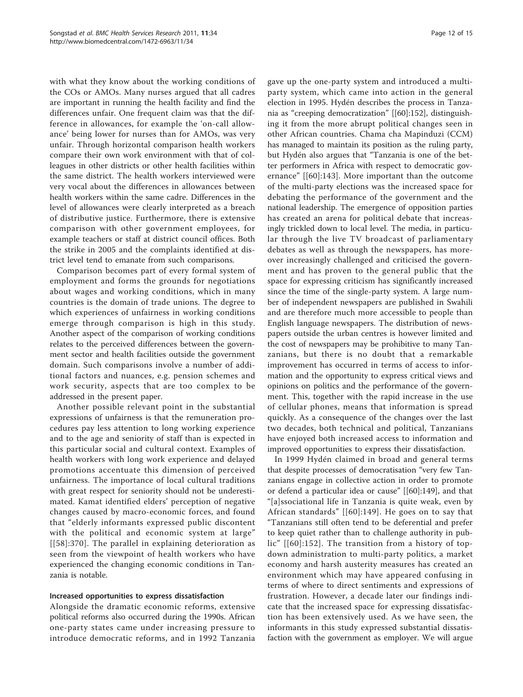with what they know about the working conditions of the COs or AMOs. Many nurses argued that all cadres are important in running the health facility and find the differences unfair. One frequent claim was that the difference in allowances, for example the 'on-call allowance' being lower for nurses than for AMOs, was very unfair. Through horizontal comparison health workers compare their own work environment with that of colleagues in other districts or other health facilities within the same district. The health workers interviewed were very vocal about the differences in allowances between health workers within the same cadre. Differences in the level of allowances were clearly interpreted as a breach of distributive justice. Furthermore, there is extensive comparison with other government employees, for example teachers or staff at district council offices. Both the strike in 2005 and the complaints identified at district level tend to emanate from such comparisons.

Comparison becomes part of every formal system of employment and forms the grounds for negotiations about wages and working conditions, which in many countries is the domain of trade unions. The degree to which experiences of unfairness in working conditions emerge through comparison is high in this study. Another aspect of the comparison of working conditions relates to the perceived differences between the government sector and health facilities outside the government domain. Such comparisons involve a number of additional factors and nuances, e.g. pension schemes and work security, aspects that are too complex to be addressed in the present paper.

Another possible relevant point in the substantial expressions of unfairness is that the remuneration procedures pay less attention to long working experience and to the age and seniority of staff than is expected in this particular social and cultural context. Examples of health workers with long work experience and delayed promotions accentuate this dimension of perceived unfairness. The importance of local cultural traditions with great respect for seniority should not be underestimated. Kamat identified elders' perception of negative changes caused by macro-economic forces, and found that "elderly informants expressed public discontent with the political and economic system at large" [[[58](#page-14-0)]:370]. The parallel in explaining deterioration as seen from the viewpoint of health workers who have experienced the changing economic conditions in Tanzania is notable.

# Increased opportunities to express dissatisfaction

Alongside the dramatic economic reforms, extensive political reforms also occurred during the 1990s. African one-party states came under increasing pressure to introduce democratic reforms, and in 1992 Tanzania

gave up the one-party system and introduced a multiparty system, which came into action in the general election in 1995. Hydén describes the process in Tanzania as "creeping democratization" [[\[60](#page-14-0)]:152], distinguishing it from the more abrupt political changes seen in other African countries. Chama cha Mapinduzi (CCM) has managed to maintain its position as the ruling party, but Hydén also argues that "Tanzania is one of the better performers in Africa with respect to democratic governance" [[[60\]](#page-14-0):143]. More important than the outcome of the multi-party elections was the increased space for debating the performance of the government and the national leadership. The emergence of opposition parties has created an arena for political debate that increasingly trickled down to local level. The media, in particular through the live TV broadcast of parliamentary debates as well as through the newspapers, has moreover increasingly challenged and criticised the government and has proven to the general public that the space for expressing criticism has significantly increased since the time of the single-party system. A large number of independent newspapers are published in Swahili and are therefore much more accessible to people than English language newspapers. The distribution of newspapers outside the urban centres is however limited and the cost of newspapers may be prohibitive to many Tanzanians, but there is no doubt that a remarkable improvement has occurred in terms of access to information and the opportunity to express critical views and opinions on politics and the performance of the government. This, together with the rapid increase in the use of cellular phones, means that information is spread quickly. As a consequence of the changes over the last two decades, both technical and political, Tanzanians have enjoyed both increased access to information and improved opportunities to express their dissatisfaction.

In 1999 Hydén claimed in broad and general terms that despite processes of democratisation "very few Tanzanians engage in collective action in order to promote or defend a particular idea or cause" [[[60](#page-14-0)]:149], and that "[a]ssociational life in Tanzania is quite weak, even by African standards" [[[60](#page-14-0)]:149]. He goes on to say that "Tanzanians still often tend to be deferential and prefer to keep quiet rather than to challenge authority in public" [[[60\]](#page-14-0):152]. The transition from a history of topdown administration to multi-party politics, a market economy and harsh austerity measures has created an environment which may have appeared confusing in terms of where to direct sentiments and expressions of frustration. However, a decade later our findings indicate that the increased space for expressing dissatisfaction has been extensively used. As we have seen, the informants in this study expressed substantial dissatisfaction with the government as employer. We will argue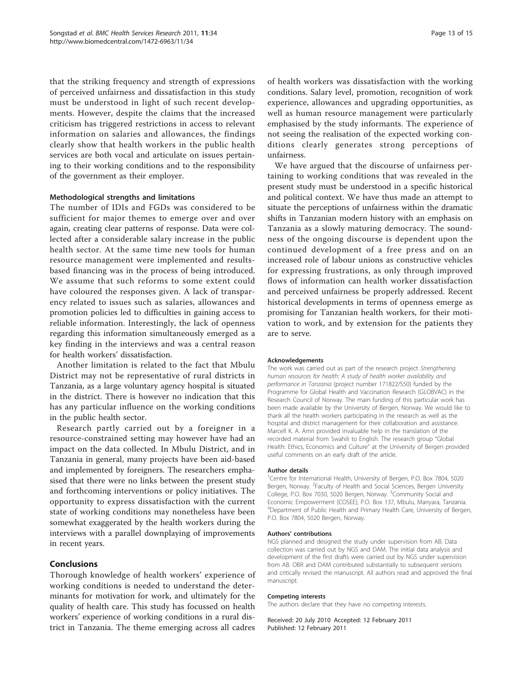that the striking frequency and strength of expressions of perceived unfairness and dissatisfaction in this study must be understood in light of such recent developments. However, despite the claims that the increased criticism has triggered restrictions in access to relevant information on salaries and allowances, the findings clearly show that health workers in the public health services are both vocal and articulate on issues pertaining to their working conditions and to the responsibility of the government as their employer.

# Methodological strengths and limitations

The number of IDIs and FGDs was considered to be sufficient for major themes to emerge over and over again, creating clear patterns of response. Data were collected after a considerable salary increase in the public health sector. At the same time new tools for human resource management were implemented and resultsbased financing was in the process of being introduced. We assume that such reforms to some extent could have coloured the responses given. A lack of transparency related to issues such as salaries, allowances and promotion policies led to difficulties in gaining access to reliable information. Interestingly, the lack of openness regarding this information simultaneously emerged as a key finding in the interviews and was a central reason for health workers' dissatisfaction.

Another limitation is related to the fact that Mbulu District may not be representative of rural districts in Tanzania, as a large voluntary agency hospital is situated in the district. There is however no indication that this has any particular influence on the working conditions in the public health sector.

Research partly carried out by a foreigner in a resource-constrained setting may however have had an impact on the data collected. In Mbulu District, and in Tanzania in general, many projects have been aid-based and implemented by foreigners. The researchers emphasised that there were no links between the present study and forthcoming interventions or policy initiatives. The opportunity to express dissatisfaction with the current state of working conditions may nonetheless have been somewhat exaggerated by the health workers during the interviews with a parallel downplaying of improvements in recent years.

# Conclusions

Thorough knowledge of health workers' experience of working conditions is needed to understand the determinants for motivation for work, and ultimately for the quality of health care. This study has focussed on health workers' experience of working conditions in a rural district in Tanzania. The theme emerging across all cadres

of health workers was dissatisfaction with the working conditions. Salary level, promotion, recognition of work experience, allowances and upgrading opportunities, as well as human resource management were particularly emphasised by the study informants. The experience of not seeing the realisation of the expected working conditions clearly generates strong perceptions of unfairness.

We have argued that the discourse of unfairness pertaining to working conditions that was revealed in the present study must be understood in a specific historical and political context. We have thus made an attempt to situate the perceptions of unfairness within the dramatic shifts in Tanzanian modern history with an emphasis on Tanzania as a slowly maturing democracy. The soundness of the ongoing discourse is dependent upon the continued development of a free press and on an increased role of labour unions as constructive vehicles for expressing frustrations, as only through improved flows of information can health worker dissatisfaction and perceived unfairness be properly addressed. Recent historical developments in terms of openness emerge as promising for Tanzanian health workers, for their motivation to work, and by extension for the patients they are to serve.

#### Acknowledgements

The work was carried out as part of the research project Strengthening human resources for health: A study of health worker availability and performance in Tanzania (project number 171822/S50) funded by the Programme for Global Health and Vaccination Research (GLOBVAC) in the Research Council of Norway. The main funding of this particular work has been made available by the University of Bergen, Norway. We would like to thank all the health workers participating in the research as well as the hospital and district management for their collaboration and assistance. Marcell K. A. Amri provided invaluable help in the translation of the recorded material from Swahili to English. The research group "Global Health: Ethics, Economics and Culture" at the University of Bergen provided useful comments on an early draft of the article.

#### Author details

<sup>1</sup> Centre for International Health, University of Bergen, P.O. Box 7804, 5020 Bergen, Norway. <sup>2</sup> Faculty of Health and Social Sciences, Bergen University College, P.O. Box 7030, 5020 Bergen, Norway. <sup>3</sup>Community Social and Economic Empowerment (COSEE), P.O. Box 137, Mbulu, Manyara, Tanzania. 4 Department of Public Health and Primary Health Care, University of Bergen, P.O. Box 7804, 5020 Bergen, Norway.

#### Authors' contributions

NGS planned and designed the study under supervision from AB. Data collection was carried out by NGS and DAM. The initial data analysis and development of the first drafts were carried out by NGS under supervision from AB. OBR and DAM contributed substantially to subsequent versions and critically revised the manuscript. All authors read and approved the final manuscript.

#### Competing interests

The authors declare that they have no competing interests.

Received: 20 July 2010 Accepted: 12 February 2011 Published: 12 February 2011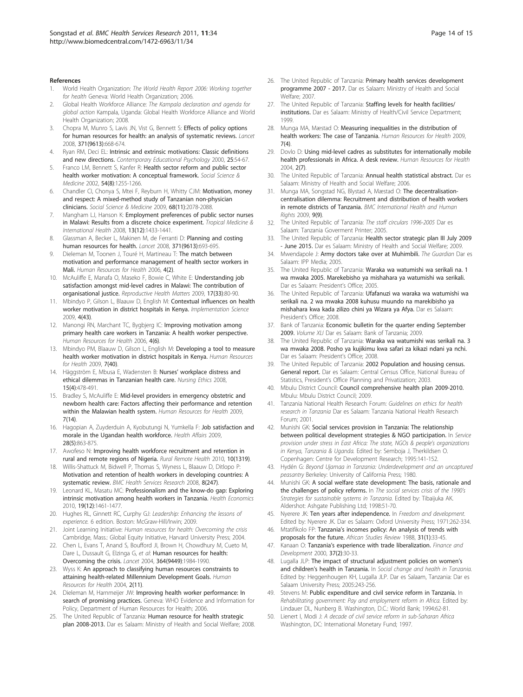- <span id="page-13-0"></span>1. World Health Organization: The World Health Report 2006: Working together for health Geneva: World Health Organization; 2006.
- 2. Global Health Workforce Alliance: The Kampala declaration and agenda for global action Kampala, Uganda: Global Health Workforce Alliance and World Health Organization; 2008.
- Chopra M, Munro S, Lavis JN, Vist G, Bennett S: [Effects of policy options](http://www.ncbi.nlm.nih.gov/pubmed/18295024?dopt=Abstract) [for human resources for health: an analysis of systematic reviews.](http://www.ncbi.nlm.nih.gov/pubmed/18295024?dopt=Abstract) Lancet 2008, 371(9613):668-674.
- 4. Ryan RM, Deci EL: [Intrinsic and extrinsic motivations: Classic definitions](http://www.ncbi.nlm.nih.gov/pubmed/10620381?dopt=Abstract) [and new directions.](http://www.ncbi.nlm.nih.gov/pubmed/10620381?dopt=Abstract) Contemporary Educational Psychology 2000, 25:54-67.
- 5. Franco LM, Bennett S, Kanfer R: Health sector reform and public sector health worker motivation: A conceptual framework. Social Science & Medicine 2002, 54(8):1255-1266.
- 6. Chandler CI, Chonya S, Mtei F, Reyburn H, Whitty CJM: Motivation, money and respect: A mixed-method study of Tanzanian non-physician clinicians. Social Science & Medicine 2009, 68(11):2078-2088.
- 7. Mangham LJ, Hanson K: Employment preferences of public sector nurses in Malawi: Results from a discrete choice experiment. Tropical Medicine & International Health 2008, 13(12):1433-1441.
- 8. Glassman A, Becker L, Makinen M, de Ferranti D: [Planning and costing](http://www.ncbi.nlm.nih.gov/pubmed/18295030?dopt=Abstract) [human resources for health.](http://www.ncbi.nlm.nih.gov/pubmed/18295030?dopt=Abstract) Lancet 2008, 371(9613):693-695.
- Dieleman M, Toonen J, Touré H, Martineau T: [The match between](http://www.ncbi.nlm.nih.gov/pubmed/16469107?dopt=Abstract) [motivation and performance management of health sector workers in](http://www.ncbi.nlm.nih.gov/pubmed/16469107?dopt=Abstract) [Mali.](http://www.ncbi.nlm.nih.gov/pubmed/16469107?dopt=Abstract) Human Resources for Health 2006, 4(2).
- 10. McAuliffe E, Manafa O, Maseko F, Bowie C, White E: [Understanding job](http://www.ncbi.nlm.nih.gov/pubmed/19523585?dopt=Abstract) [satisfaction amongst mid-level cadres in Malawi: The contribution of](http://www.ncbi.nlm.nih.gov/pubmed/19523585?dopt=Abstract) [organisational justice.](http://www.ncbi.nlm.nih.gov/pubmed/19523585?dopt=Abstract) Reproductive Health Matters 2009, 17(33):80-90.
- 11. Mbindyo P, Gilson L, Blaauw D, English M: Contextual influences on health worker motivation in district hospitals in Kenya. Implementation Science 2009, 4(43).
- 12. Manongi RN, Marchant TC, Bygbjerg IC: [Improving motivation among](http://www.ncbi.nlm.nih.gov/pubmed/16522213?dopt=Abstract) [primary health care workers in Tanzania: A health worker perspective.](http://www.ncbi.nlm.nih.gov/pubmed/16522213?dopt=Abstract) Human Resources for Health 2006, 4(6).
- 13. Mbindyo PM, Blaauw D, Gilson L, English M: [Developing a tool to measure](http://www.ncbi.nlm.nih.gov/pubmed/19457237?dopt=Abstract) [health worker motivation in district hospitals in Kenya.](http://www.ncbi.nlm.nih.gov/pubmed/19457237?dopt=Abstract) Human Resources for Health 2009, 7(40).
- 14. Häggström E, Mbusa E, Wadensten B: Nurses' [workplace distress and](http://www.ncbi.nlm.nih.gov/pubmed/18515437?dopt=Abstract) [ethical dilemmas in Tanzanian health care.](http://www.ncbi.nlm.nih.gov/pubmed/18515437?dopt=Abstract) Nursing Ethics 2008, 15(4):478-491.
- 15. Bradley S, McAuliffe E: [Mid-level providers in emergency obstetric and](http://www.ncbi.nlm.nih.gov/pubmed/19228409?dopt=Abstract) [newborn health care: Factors affecting their performance and retention](http://www.ncbi.nlm.nih.gov/pubmed/19228409?dopt=Abstract) [within the Malawian health system.](http://www.ncbi.nlm.nih.gov/pubmed/19228409?dopt=Abstract) Human Resources for Health 2009, 7(14).
- 16. Hagopian A, Zuyderduin A, Kyobutungi N, Yumkella F: Job satisfaction and morale in the Ugandan health workforce. Health Affairs 2009, 28(5):863-875.
- 17. Awofeso N: [Improving health workforce recruitment and retention in](http://www.ncbi.nlm.nih.gov/pubmed/20136347?dopt=Abstract) [rural and remote regions of Nigeria.](http://www.ncbi.nlm.nih.gov/pubmed/20136347?dopt=Abstract) Rural Remote Health 2010, 10(1319).
- 18. Willis-Shattuck M, Bidwell P, Thomas S, Wyness L, Blaauw D, Ditlopo P: [Motivation and retention of health workers in developing countries: A](http://www.ncbi.nlm.nih.gov/pubmed/19055827?dopt=Abstract) [systematic review.](http://www.ncbi.nlm.nih.gov/pubmed/19055827?dopt=Abstract) BMC Health Services Research 2008, 8(247).
- 19. Leonard KL, Masatu MC: [Professionalism and the know-do gap: Exploring](http://www.ncbi.nlm.nih.gov/pubmed/19960481?dopt=Abstract) [intrinsic motivation among health workers in Tanzania.](http://www.ncbi.nlm.nih.gov/pubmed/19960481?dopt=Abstract) Health Economics 2010, 19(12):1461-1477.
- 20. Hughes RL, Ginnett RC, Curphy GJ: Leadership: Enhancing the lessons of experience. 6 edition. Boston: McGraw-Hill/Irwin; 2009.
- 21. Joint Learning Initiative: Human resources for health: Overcoming the crisis Cambridge, Mass.: Global Equity Initiative, Harvard University Press; 2004.
- 22. Chen L, Evans T, Anand S, Boufford JI, Brown H, Chowdhury M, Cueto M, Dare L, Dussault G, Elzinga G, et al: [Human resources for health:](http://www.ncbi.nlm.nih.gov/pubmed/15567015?dopt=Abstract) [Overcoming the crisis.](http://www.ncbi.nlm.nih.gov/pubmed/15567015?dopt=Abstract) Lancet 2004, 364(9449):1984-1990.
- 23. Wyss K: [An approach to classifying human resources constraints to](http://www.ncbi.nlm.nih.gov/pubmed/15238166?dopt=Abstract) [attaining health-related Millennium Development Goals.](http://www.ncbi.nlm.nih.gov/pubmed/15238166?dopt=Abstract) Human Resources for Health 2004, 2(11).
- 24. Dieleman M, Harnmeijer JW: Improving health worker performance: In search of promising practices. Geneva: WHO Evidence and Information for Policy, Department of Human Resources for Health; 2006.
- 25. The United Republic of Tanzania: Human resource for health strategic plan 2008-2013. Dar es Salaam: Ministry of Health and Social Welfare; 2008.
- 26. The United Republic of Tanzania: Primary health services development programme 2007 - 2017. Dar es Salaam: Ministry of Health and Social Welfare; 2007.
- 27. The United Republic of Tanzania: Staffing levels for health facilities/ institutions. Dar es Salaam: Ministry of Health/Civil Service Department; 1999.
- 28. Munga MA, Mæstad O: [Measuring inequalities in the distribution of](http://www.ncbi.nlm.nih.gov/pubmed/19159443?dopt=Abstract) [health workers: The case of Tanzania.](http://www.ncbi.nlm.nih.gov/pubmed/19159443?dopt=Abstract) Human Resources for Health 2009,  $7(4)$
- 29. Dovlo D: [Using mid-level cadres as substitutes for internationally mobile](http://www.ncbi.nlm.nih.gov/pubmed/15207010?dopt=Abstract) [health professionals in Africa. A desk review.](http://www.ncbi.nlm.nih.gov/pubmed/15207010?dopt=Abstract) Human Resources for Health 2004, 2(7).
- 30. The United Republic of Tanzania: Annual health statistical abstract. Dar es Salaam: Ministry of Health and Social Welfare; 2006.
- 31. Munga MA, Songstad NG, Blystad A, Mæstad O: [The decentralisation](http://www.ncbi.nlm.nih.gov/pubmed/19405958?dopt=Abstract)[centralisation dilemma: Recruitment and distribution of health workers](http://www.ncbi.nlm.nih.gov/pubmed/19405958?dopt=Abstract) [in remote districts of Tanzania.](http://www.ncbi.nlm.nih.gov/pubmed/19405958?dopt=Abstract) BMC International Health and Human Rights 2009, 9(9).
- 32. The United Republic of Tanzania: The staff circulars 1996-2005 Dar es Salaam: Tanzania Goverment Printer; 2005.
- 33. The United Republic of Tanzania: Health sector strategic plan III July 2009 - June 2015. Dar es Salaam: Ministry of Health and Social Welfare; 2009.
- 34. Mwendapole J: Army doctors take over at Muhimbili. The Guardian Dar es Salaam: IPP Media; 2005.
- 35. The United Republic of Tanzania: Waraka wa watumishi wa serikali na. 1 wa mwaka 2005. Marekebisho ya mishahara ya watumishi wa serikali. Dar es Salaam: President's Office; 2005.
- 36. The United Republic of Tanzania: Ufafanuzi wa waraka wa watumishi wa serikali na. 2 wa mwaka 2008 kuhusu muundo na marekibisho ya mishahara kwa kada zilizo chini ya Wizara ya Afya. Dar es Salaam: President's Office; 2008.
- Bank of Tanzania: Economic bulletin for the quarter ending September 2009. Volume XLL Dar es Salaam: Bank of Tanzania: 2009.
- 38. The United Republic of Tanzania: Waraka wa watumishi was serikali na. 3 wa mwaka 2008. Posho ya kujikimu kwa safari za kikazi ndani ya nchi. Dar es Salaam: President's Office; 2008.
- 39. The United Republic of Tanzania: 2002 Population and housing census. General report. Dar es Salaam: Central Census Office, National Bureau of Statistics, President's Office Planning and Privatization; 2003.
- 40. Mbulu District Council: Council comprehensive health plan 2009-2010. Mbulu: Mbulu District Council; 2009.
- 41. Tanzania National Health Research Forum: Guidelines on ethics for health research in Tanzania Dar es Salaam: Tanzania National Health Research Forum; 2001.
- 42. Munishi GK: Social services provision in Tanzania: The relationship between political development strategies & NGO participation. In Service provision under stress in East Africa: The state, NGOs & people's organizations in Kenya, Tanzania & Uganda. Edited by: Semboja J, Therkildsen O. Copenhagen: Centre for Development Research; 1995:141-152.
- 43. Hydén G: Beyond Ujamaa in Tanzania: Underdevelopment and an uncaptured peasantry Berkeley: University of California Press; 1980.
- 44. Munishi GK: A social welfare state development: The basis, rationale and the challenges of policy reforms. In The social services crisis of the 1990's Strategies for sustainable systems in Tanzania. Edited by: Tibaijuka AK. Aldershot: Ashgate Publishing Ltd; 1998:51-70.
- 45. Nyerere JK: Ten years after independence. In Freedom and development. Edited by: Nyerere JK. Dar es Salaam: Oxford University Press; 1971:262-334.
- 46. Mtatifikolo FP: Tanzania's incomes policy: An analysis of trends with proposals for the future. African Studies Review 1988, 31(1):33-45.
- 47. Kanaan O: Tanzania's experience with trade liberalization. Finance and Development 2000, 37(2):30-33.
- 48. Lugalla JLP: The impact of structural adjustment policies on women's and children's health in Tanzania. In Social change and health in Tanzania. Edited by: Heggenhougen KH, Lugalla JLP. Dar es Salaam, Tanzania: Dar es Salaam University Press; 2005:243-256.
- 49. Stevens M: Public expenditure and civil service reform in Tanzania. In Rehabilitating government: Pay and employment reform in Africa. Edited by: Lindauer DL, Nunberg B. Washington, D.C.: World Bank; 1994:62-81.
- 50. Lienert I, Modi J: A decade of civil service reform in sub-Saharan Africa Washington, DC: International Monetary Fund; 1997.